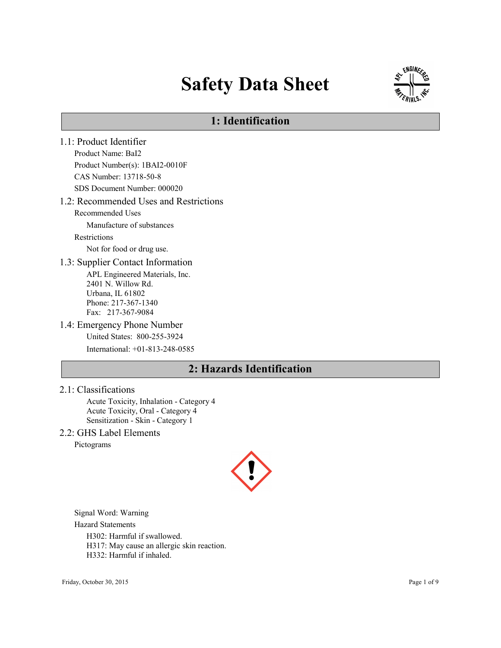# Safety Data Sheet



### 1: Identification

1.1: Product Identifier Product Name: BaI2 Product Number(s): 1BAI2-0010F CAS Number: 13718-50-8 SDS Document Number: 000020 1.2: Recommended Uses and Restrictions Recommended Uses Manufacture of substances Restrictions Not for food or drug use. 1.3: Supplier Contact Information APL Engineered Materials, Inc. 2401 N. Willow Rd. Urbana, IL 61802 Phone: 217-367-1340 Fax: 217-367-9084 1.4: Emergency Phone Number United States: 800-255-3924 International: +01-813-248-0585

### 2: Hazards Identification

2.1: Classifications

Acute Toxicity, Inhalation - Category 4 Acute Toxicity, Oral - Category 4 Sensitization - Skin - Category 1

2.2: GHS Label Elements

Pictograms



Signal Word: Warning

Hazard Statements

H302: Harmful if swallowed.

H317: May cause an allergic skin reaction.

H332: Harmful if inhaled.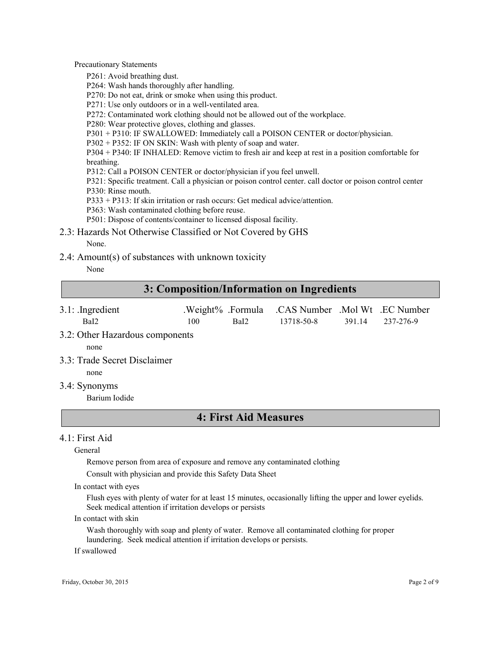Precautionary Statements

P261: Avoid breathing dust.

P264: Wash hands thoroughly after handling.

P270: Do not eat, drink or smoke when using this product.

P271: Use only outdoors or in a well-ventilated area.

P272: Contaminated work clothing should not be allowed out of the workplace.

P280: Wear protective gloves, clothing and glasses.

P301 + P310: IF SWALLOWED: Immediately call a POISON CENTER or doctor/physician.

P302 + P352: IF ON SKIN: Wash with plenty of soap and water.

P304 + P340: IF INHALED: Remove victim to fresh air and keep at rest in a position comfortable for breathing.

P312: Call a POISON CENTER or doctor/physician if you feel unwell.

P321: Specific treatment. Call a physician or poison control center. call doctor or poison control center P330: Rinse mouth.

P333 + P313: If skin irritation or rash occurs: Get medical advice/attention.

P363: Wash contaminated clothing before reuse.

P501: Dispose of contents/container to licensed disposal facility.

2.3: Hazards Not Otherwise Classified or Not Covered by GHS

None.

2.4: Amount(s) of substances with unknown toxicity

None

### 3: Composition/Information on Ingredients

- 3.1: .Ingredient .Weight% .Formula .CAS Number .Mol Wt .EC Number BaI2 100 BaI2 13718-50-8 391.14 237-276-9
- 3.2: Other Hazardous components

none

3.3: Trade Secret Disclaimer

none

3.4: Synonyms

Barium Iodide

### 4: First Aid Measures

### $4.1$  First Aid

General

Remove person from area of exposure and remove any contaminated clothing

Consult with physician and provide this Safety Data Sheet

In contact with eyes

Flush eyes with plenty of water for at least 15 minutes, occasionally lifting the upper and lower eyelids. Seek medical attention if irritation develops or persists

In contact with skin

Wash thoroughly with soap and plenty of water. Remove all contaminated clothing for proper laundering. Seek medical attention if irritation develops or persists.

If swallowed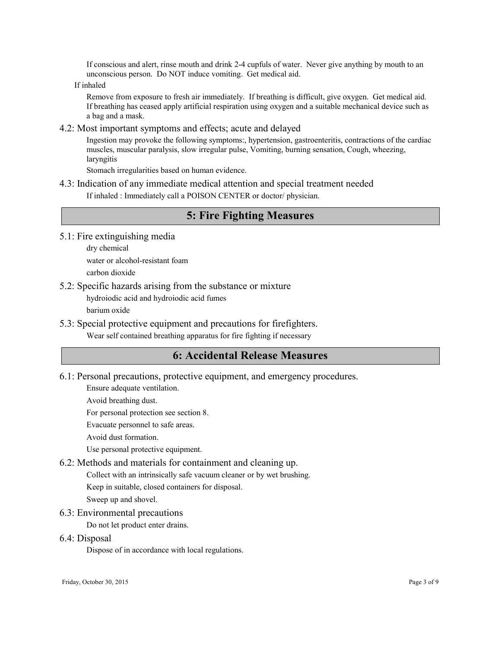If conscious and alert, rinse mouth and drink 2-4 cupfuls of water. Never give anything by mouth to an unconscious person. Do NOT induce vomiting. Get medical aid.

If inhaled

Remove from exposure to fresh air immediately. If breathing is difficult, give oxygen. Get medical aid. If breathing has ceased apply artificial respiration using oxygen and a suitable mechanical device such as a bag and a mask.

#### 4.2: Most important symptoms and effects; acute and delayed

Ingestion may provoke the following symptoms:, hypertension, gastroenteritis, contractions of the cardiac muscles, muscular paralysis, slow irregular pulse, Vomiting, burning sensation, Cough, wheezing, laryngitis

Stomach irregularities based on human evidence.

## 4.3: Indication of any immediate medical attention and special treatment needed

If inhaled : Immediately call a POISON CENTER or doctor/ physician.

### 5: Fire Fighting Measures

5.1: Fire extinguishing media

dry chemical water or alcohol-resistant foam carbon dioxide

5.2: Specific hazards arising from the substance or mixture

hydroiodic acid and hydroiodic acid fumes

barium oxide

5.3: Special protective equipment and precautions for firefighters.

Wear self contained breathing apparatus for fire fighting if necessary

### 6: Accidental Release Measures

6.1: Personal precautions, protective equipment, and emergency procedures.

Ensure adequate ventilation.

Avoid breathing dust.

For personal protection see section 8.

Evacuate personnel to safe areas.

Avoid dust formation.

Use personal protective equipment.

### 6.2: Methods and materials for containment and cleaning up.

Collect with an intrinsically safe vacuum cleaner or by wet brushing.

Keep in suitable, closed containers for disposal.

Sweep up and shovel.

### 6.3: Environmental precautions

Do not let product enter drains.

6.4: Disposal

Dispose of in accordance with local regulations.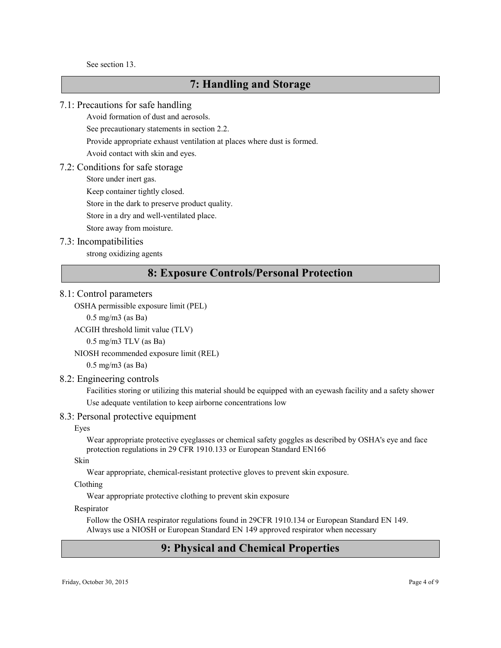See section 13.

### 7: Handling and Storage

#### 7.1: Precautions for safe handling

Avoid formation of dust and aerosols.

See precautionary statements in section 2.2.

Provide appropriate exhaust ventilation at places where dust is formed.

Avoid contact with skin and eyes.

#### 7.2: Conditions for safe storage

Store under inert gas.

Keep container tightly closed.

Store in the dark to preserve product quality.

Store in a dry and well-ventilated place.

Store away from moisture.

#### 7.3: Incompatibilities

strong oxidizing agents

### 8: Exposure Controls/Personal Protection

#### 8.1: Control parameters

OSHA permissible exposure limit (PEL)

0.5 mg/m3 (as Ba)

```
ACGIH threshold limit value (TLV)
```
0.5 mg/m3 TLV (as Ba)

NIOSH recommended exposure limit (REL)

0.5 mg/m3 (as Ba)

#### 8.2: Engineering controls

Facilities storing or utilizing this material should be equipped with an eyewash facility and a safety shower Use adequate ventilation to keep airborne concentrations low

#### 8.3: Personal protective equipment

#### Eyes

Wear appropriate protective eyeglasses or chemical safety goggles as described by OSHA's eye and face protection regulations in 29 CFR 1910.133 or European Standard EN166

#### Skin

Wear appropriate, chemical-resistant protective gloves to prevent skin exposure.

#### Clothing

Wear appropriate protective clothing to prevent skin exposure

### Respirator

Follow the OSHA respirator regulations found in 29CFR 1910.134 or European Standard EN 149. Always use a NIOSH or European Standard EN 149 approved respirator when necessary

### 9: Physical and Chemical Properties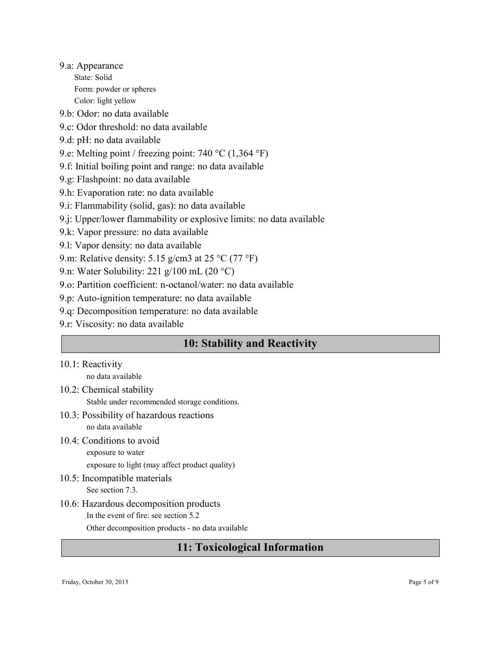9.a: Appearance State: Solid Form: powder or spheres Color: light yellow

9.b: Odor: no data available

- 9.c: Odor threshold: no data available
- 9.d: pH: no data available
- 9.e: Melting point / freezing point: 740 °C (1,364 °F)
- 9.f: Initial boiling point and range: no data available
- 9.g: Flashpoint: no data available
- 9.h: Evaporation rate: no data available
- 9.i: Flammability (solid, gas): no data available
- 9.j: Upper/lower flammability or explosive limits: no data available
- 9.k: Vapor pressure: no data available
- 9.l: Vapor density: no data available
- 9.m: Relative density: 5.15 g/cm3 at 25 °C (77 °F)
- 9.n: Water Solubility: 221 g/100 mL (20  $^{\circ}$ C)
- 9.o: Partition coefficient: n-octanol/water: no data available
- 9.p: Auto-ignition temperature: no data available
- 9.q: Decomposition temperature: no data available
- 9.r: Viscosity: no data available

### 10: Stability and Reactivity

### 10.1: Reactivity

no data available

- 10.2: Chemical stability
	- Stable under recommended storage conditions.
- 10.3: Possibility of hazardous reactions no data available
- 10.4: Conditions to avoid exposure to water

exposure to light (may affect product quality)

- 10.5: Incompatible materials See section 7.3.
- 10.6: Hazardous decomposition products In the event of fire: see section 5.2 Other decomposition products - no data available

### 11: Toxicological Information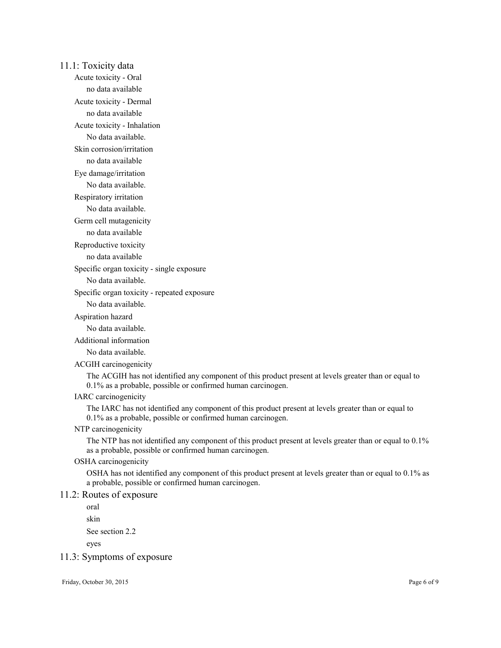11.1: Toxicity data Acute toxicity - Oral no data available Acute toxicity - Dermal no data available Acute toxicity - Inhalation No data available. Skin corrosion/irritation no data available Eye damage/irritation No data available. Respiratory irritation No data available. Germ cell mutagenicity no data available Reproductive toxicity no data available Specific organ toxicity - single exposure No data available. Specific organ toxicity - repeated exposure No data available. Aspiration hazard No data available. Additional information No data available. ACGIH carcinogenicity The ACGIH has not identified any component of this product present at levels greater than or equal to 0.1% as a probable, possible or confirmed human carcinogen. IARC carcinogenicity The IARC has not identified any component of this product present at levels greater than or equal to 0.1% as a probable, possible or confirmed human carcinogen. NTP carcinogenicity The NTP has not identified any component of this product present at levels greater than or equal to 0.1% as a probable, possible or confirmed human carcinogen. OSHA carcinogenicity OSHA has not identified any component of this product present at levels greater than or equal to 0.1% as a probable, possible or confirmed human carcinogen. 11.2: Routes of exposure oral skin See section 2.2 eyes 11.3: Symptoms of exposure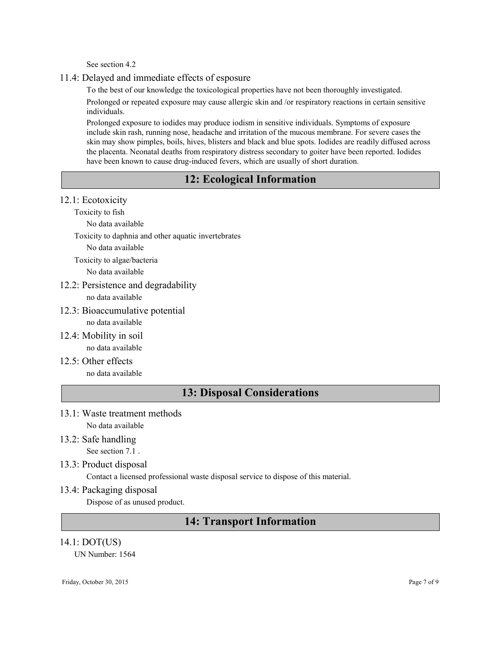See section 4.2

### 11.4: Delayed and immediate effects of esposure

To the best of our knowledge the toxicological properties have not been thoroughly investigated.

Prolonged or repeated exposure may cause allergic skin and /or respiratory reactions in certain sensitive individuals.

Prolonged exposure to iodides may produce iodism in sensitive individuals. Symptoms of exposure include skin rash, running nose, headache and irritation of the mucous membrane. For severe cases the skin may show pimples, boils, hives, blisters and black and blue spots. Iodides are readily diffused across the placenta. Neonatal deaths from respiratory distress secondary to goiter have been reported. Iodides have been known to cause drug-induced fevers, which are usually of short duration.

### 12: Ecological Information

### 12.1: Ecotoxicity

Toxicity to fish

No data available

Toxicity to daphnia and other aquatic invertebrates

No data available

Toxicity to algae/bacteria

No data available

### 12.2: Persistence and degradability

no data available

12.3: Bioaccumulative potential

no data available

- 12.4: Mobility in soil no data available
- $12.5 \cdot$  Other effects no data available

### 13: Disposal Considerations

- 13.1: Waste treatment methods No data available
- 13.2: Safe handling See section 7.1 .
- 13.3: Product disposal

Contact a licensed professional waste disposal service to dispose of this material.

13.4: Packaging disposal

Dispose of as unused product.

### 14: Transport Information

### 14.1: DOT(US)

UN Number: 1564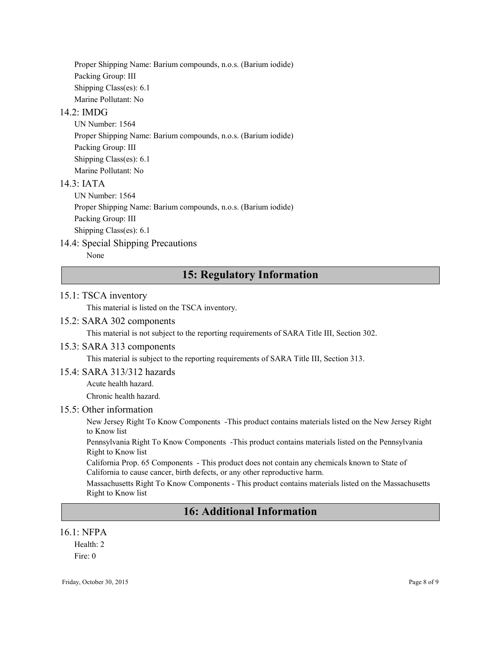Proper Shipping Name: Barium compounds, n.o.s. (Barium iodide) Packing Group: III Shipping Class(es): 6.1 Marine Pollutant: No

### 14.2: IMDG

UN Number: 1564 Proper Shipping Name: Barium compounds, n.o.s. (Barium iodide) Packing Group: III Shipping Class(es): 6.1 Marine Pollutant: No

### $14.3$   $IATA$

UN Number: 1564 Proper Shipping Name: Barium compounds, n.o.s. (Barium iodide) Packing Group: III

Shipping Class(es): 6.1

### 14.4: Special Shipping Precautions

None

### 15: Regulatory Information

### 15.1: TSCA inventory

This material is listed on the TSCA inventory.

### 15.2: SARA 302 components

This material is not subject to the reporting requirements of SARA Title III, Section 302.

### 15.3: SARA 313 components

This material is subject to the reporting requirements of SARA Title III, Section 313.

#### 15.4: SARA 313/312 hazards

Acute health hazard.

Chronic health hazard.

### 15.5: Other information

New Jersey Right To Know Components -This product contains materials listed on the New Jersey Right to Know list

Pennsylvania Right To Know Components -This product contains materials listed on the Pennsylvania Right to Know list

California Prop. 65 Components - This product does not contain any chemicals known to State of California to cause cancer, birth defects, or any other reproductive harm.

Massachusetts Right To Know Components - This product contains materials listed on the Massachusetts Right to Know list

### 16: Additional Information

#### 16.1: NFPA

Health: 2 Fire: 0